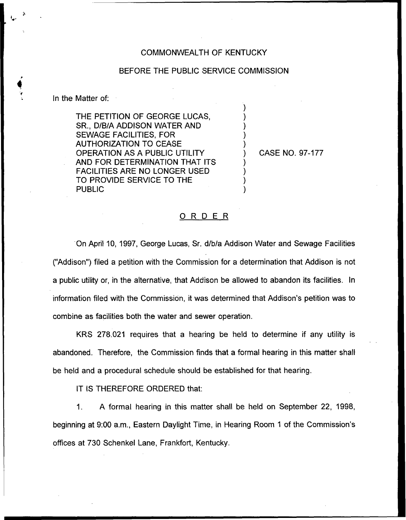## COMMONWEALTH OF KENTUCKY

## BEFORE THE PUBLIC SERVICE COMMISSION

) ) ) ) )

) ) ) )

In the Matter of:

THE PETITION OF GEORGE LUCAS, SR., D/B/A ADDISON WATER AND SEWAGE FACILITIES, FOR AUTHORIZATION TO CEASE OPERATION AS A PUBLIC UTILITY AND FOR DETERMINATION THAT ITS FACILITIES ARE NO LONGER USED TO PROVIDE SERVICE TO THE PUBLIC

) CASE NO. 97-177

## ORDER

On April 10, 1997, George Lucas, Sr. d/b/a Addison Water and Sewage Facilities ("Addison") filed a petition with the Commission for a determination that Addison is not a public utility or, in the alternative, that Addison be allowed to abandon its facilities. In information filed with the Commission, it was determined that Addison's petition was to combine as facilities both the water and sewer operation.

KRS 278.021 requires that a hearing be held to determine if any utility is abandoned. Therefore, the Commission finds that a formal hearing in this matter shall be held and a procedural schedule should be established for that hearing.

IT IS THEREFORE ORDERED that:

A formal hearing in this matter shall be held on September 22, 1998,  $1.$ beginning at 9:00 a.m., Eastern Daylight Time, in Hearing Room 1 of the Commission's offices at 730 Schenkel Lane, Frankfort, Kentucky.